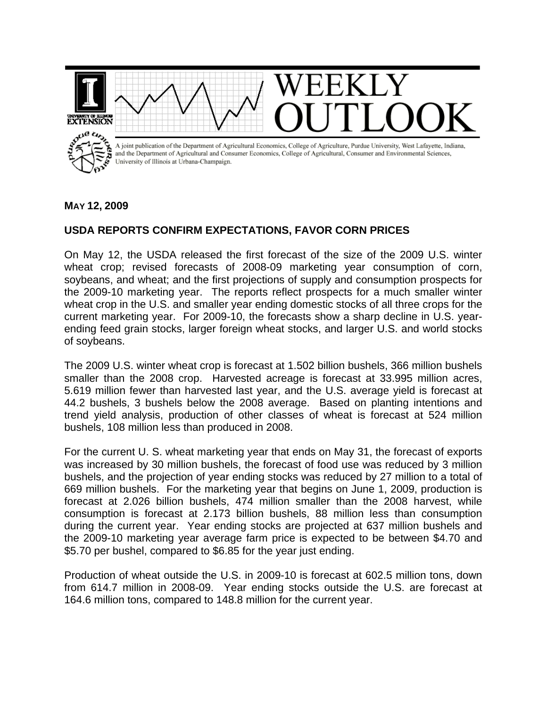

## **MAY 12, 2009**

## **USDA REPORTS CONFIRM EXPECTATIONS, FAVOR CORN PRICES**

On May 12, the USDA released the first forecast of the size of the 2009 U.S. winter wheat crop; revised forecasts of 2008-09 marketing year consumption of corn, soybeans, and wheat; and the first projections of supply and consumption prospects for the 2009-10 marketing year. The reports reflect prospects for a much smaller winter wheat crop in the U.S. and smaller year ending domestic stocks of all three crops for the current marketing year. For 2009-10, the forecasts show a sharp decline in U.S. yearending feed grain stocks, larger foreign wheat stocks, and larger U.S. and world stocks of soybeans.

The 2009 U.S. winter wheat crop is forecast at 1.502 billion bushels, 366 million bushels smaller than the 2008 crop. Harvested acreage is forecast at 33.995 million acres, 5.619 million fewer than harvested last year, and the U.S. average yield is forecast at 44.2 bushels, 3 bushels below the 2008 average. Based on planting intentions and trend yield analysis, production of other classes of wheat is forecast at 524 million bushels, 108 million less than produced in 2008.

For the current U. S. wheat marketing year that ends on May 31, the forecast of exports was increased by 30 million bushels, the forecast of food use was reduced by 3 million bushels, and the projection of year ending stocks was reduced by 27 million to a total of 669 million bushels. For the marketing year that begins on June 1, 2009, production is forecast at 2.026 billion bushels, 474 million smaller than the 2008 harvest, while consumption is forecast at 2.173 billion bushels, 88 million less than consumption during the current year. Year ending stocks are projected at 637 million bushels and the 2009-10 marketing year average farm price is expected to be between \$4.70 and \$5.70 per bushel, compared to \$6.85 for the year just ending.

Production of wheat outside the U.S. in 2009-10 is forecast at 602.5 million tons, down from 614.7 million in 2008-09. Year ending stocks outside the U.S. are forecast at 164.6 million tons, compared to 148.8 million for the current year.